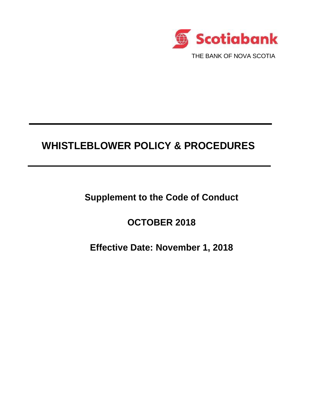

# **WHISTLEBLOWER POLICY & PROCEDURES**

**Supplement to the Code of Conduct**

**OCTOBER 2018**

**Effective Date: November 1, 2018**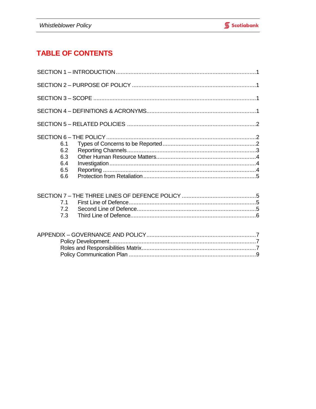## **TABLE OF CONTENTS**

| 6.1<br>6.2<br>6.3<br>6.4<br>6.5<br>6.6 |  |
|----------------------------------------|--|
| 7.1<br>7.2<br>7.3                      |  |
|                                        |  |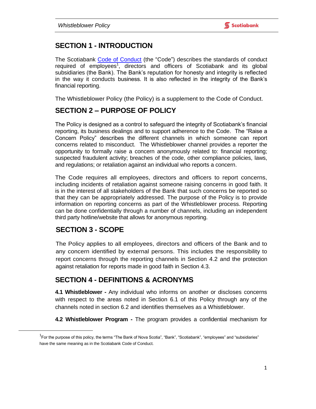### **SECTION 1 - INTRODUCTION**

The Scotiabank [Code of Conduct](http://scotiabanklive.cs.bns/docs/DOC-196602) (the "Code") describes the standards of conduct required of employees<sup>1</sup>, directors and officers of Scotiabank and its global subsidiaries (the Bank). The Bank's reputation for honesty and integrity is reflected in the way it conducts business. It is also reflected in the integrity of the Bank's financial reporting.

The Whistleblower Policy (the Policy) is a supplement to the Code of Conduct.

### **SECTION 2 – PURPOSE OF POLICY**

The Policy is designed as a control to safeguard the integrity of Scotiabank's financial reporting, its business dealings and to support adherence to the Code. The "Raise a Concern Policy" describes the different channels in which someone can report concerns related to misconduct. The Whistleblower channel provides a reporter the opportunity to formally raise a concern anonymously related to: financial reporting; suspected fraudulent activity; breaches of the code, other compliance policies, laws, and regulations; or retaliation against an individual who reports a concern.

The Code requires all employees, directors and officers to report concerns, including incidents of retaliation against someone raising concerns in good faith. It is in the interest of all stakeholders of the Bank that such concerns be reported so that they can be appropriately addressed. The purpose of the Policy is to provide information on reporting concerns as part of the Whistleblower process. Reporting can be done confidentially through a number of channels, including an independent third party hotline/website that allows for anonymous reporting.

### **SECTION 3 - SCOPE**

 $\overline{a}$ 

The Policy applies to all employees, directors and officers of the Bank and to any concern identified by external persons. This includes the responsibility to report concerns through the reporting channels in Section 4.2 and the protection against retaliation for reports made in good faith in Section 4.3.

### **SECTION 4 - DEFINITIONS & ACRONYMS**

**4.1 Whistleblower -** Any individual who informs on another or discloses concerns with respect to the areas noted in Section 6.1 of this Policy through any of the channels noted in section 6.2 and identifies themselves as a Whistleblower.

**4.2 Whistleblower Program -** The program provides a confidential mechanism for

<sup>&</sup>lt;sup>1</sup>For the purpose of this policy, the terms "The Bank of Nova Scotia", "Bank", "Scotiabank", "employees" and "subsidiaries" have the same meaning as in the Scotiabank Code of Conduct.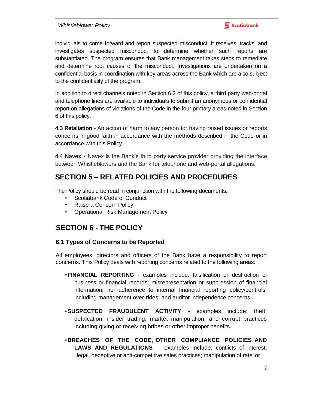individuals to come forward and report suspected misconduct. It receives, tracks, and investigates suspected misconduct to determine whether such reports are substantiated. The program ensures that Bank management takes steps to remediate and determine root causes of the misconduct. Investigations are undertaken on a confidential basis in coordination with key areas across the Bank which are also subject to the confidentiality of the program.

In addition to direct channels noted in Section 6.2 of this policy, a third party web-portal and telephone lines are available to individuals to submit an anonymous or confidential report on allegations of violations of the Code in the four primary areas noted in Section 6 of this policy.

**4.3 Retaliation -** An action of harm to any person for having raised issues or reports concerns in good faith in accordance with the methods described in the Code or in accordance with this Policy.

**4.4 Navex** - Navex is the Bank's third party service provider providing the interface between Whistleblowers and the Bank for telephone and web-portal allegations.

### **SECTION 5 – RELATED POLICIES AND PROCEDURES**

The Policy should be read in conjunction with the following documents:

- Scotiabank Code of Conduct
- Raise a Concern Policy
- Operational Risk Management Policy

### **SECTION 6 - THE POLICY**

#### **6.1 Types of Concerns to be Reported**

All employees, directors and officers of the Bank have a responsibility to report concerns. This Policy deals with reporting concerns related to the following areas:

- •**FINANCIAL REPORTING** examples include: falsification or destruction of business or financial records; misrepresentation or suppression of financial information; non-adherence to internal financial reporting policy/controls, including management over-rides; and auditor independence concerns.
- •**SUSPECTED FRAUDULENT ACTIVITY** examples include: theft; defalcation; insider trading; market manipulation; and corrupt practices including giving or receiving bribes or other improper benefits.
- •**BREACHES OF THE CODE, OTHER COMPLIANCE POLICIES AND LAWS AND REGULATIONS** - examples include: conflicts of interest; illegal, deceptive or anti-competitive sales practices; manipulation of rate or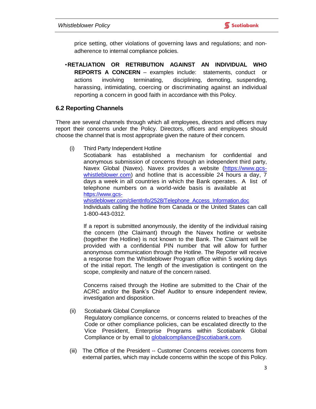price setting, other violations of governing laws and regulations; and nonadherence to internal compliance policies.

•**RETALIATION OR RETRIBUTION AGAINST AN INDIVIDUAL WHO REPORTS A CONCERN** – examples include: statements, conduct or actions involving terminating, disciplining, demoting, suspending, harassing, intimidating, coercing or discriminating against an individual reporting a concern in good faith in accordance with this Policy.

#### **6.2 Reporting Channels**

There are several channels through which all employees, directors and officers may report their concerns under the Policy. Directors, officers and employees should choose the channel that is most appropriate given the nature of their concern.

(i) Third Party Independent Hotline

Scotiabank has established a mechanism for confidential and anonymous submission of concerns through an independent third party, Navex Global (Navex). Navex provides a website [\(https://www.gcs](https://www.gcs-whistleblower.com/)[whistleblower.com\)](https://www.gcs-whistleblower.com/) and hotline that is accessible 24 hours a day, 7 days a week in all countries in which the Bank operates. A list of telephone numbers on a world-wide basis is available at [https://www.gcs-](https://www.gcs-whistleblower.com/clientInfo/2528/Telephone_Access_Information.doc)

[whistleblower.com/clientInfo/2528/Telephone\\_Access\\_Information.doc](https://www.gcs-whistleblower.com/clientInfo/2528/Telephone_Access_Information.doc) Individuals calling the hotline from Canada or the United States can call 1-800-443-0312.

If a report is submitted anonymously, the identity of the individual raising the concern (the Claimant) through the Navex hotline or website (together the Hotline) is not known to the Bank. The Claimant will be provided with a confidential PIN number that will allow for further anonymous communication through the Hotline. The Reporter will receive a response from the Whistleblower Program office within 5 working days of the initial report. The length of the investigation is contingent on the scope, complexity and nature of the concern raised.

Concerns raised through the Hotline are submitted to the Chair of the ACRC and/or the Bank's Chief Auditor to ensure independent review, investigation and disposition.

- (ii) Scotiabank Global Compliance Regulatory compliance concerns, or concerns related to breaches of the Code or other compliance policies, can be escalated directly to the Vice President, Enterprise Programs within Scotiabank Global Compliance or by email to [globalcompliance@scotiabank.com.](mailto:globalcompliance@scotiabank.com)
- (iii) The Office of the President -- Customer Concerns receives concerns from external parties, which may include concerns within the scope of this Policy.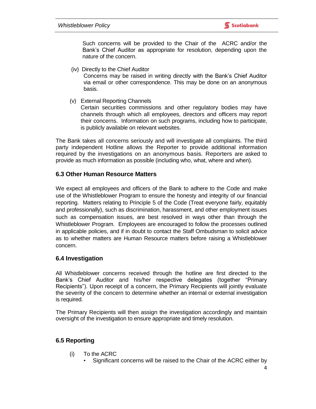Such concerns will be provided to the Chair of the ACRC and/or the Bank's Chief Auditor as appropriate for resolution, depending upon the nature of the concern.

(iv) Directly to the Chief Auditor

Concerns may be raised in writing directly with the Bank's Chief Auditor via email or other correspondence. This may be done on an anonymous basis.

(v) External Reporting Channels

Certain securities commissions and other regulatory bodies may have channels through which all employees, directors and officers may report their concerns. Information on such programs, including how to participate, is publicly available on relevant websites.

The Bank takes all concerns seriously and will investigate all complaints. The third party independent Hotline allows the Reporter to provide additional information required by the investigations on an anonymous basis. Reporters are asked to provide as much information as possible (including who, what, where and when).

#### **6.3 Other Human Resource Matters**

We expect all employees and officers of the Bank to adhere to the Code and make use of the Whistleblower Program to ensure the honesty and integrity of our financial reporting. Matters relating to Principle 5 of the Code (Treat everyone fairly, equitably and professionally), such as discrimination, harassment, and other employment issues such as compensation issues, are best resolved in ways other than through the Whistleblower Program. Employees are encouraged to follow the processes outlined in applicable policies, and if in doubt to contact the Staff Ombudsman to solicit advice as to whether matters are Human Resource matters before raising a Whistleblower concern.

#### **6.4 Investigation**

All Whistleblower concerns received through the hotline are first directed to the Bank's Chief Auditor and his/her respective delegates (together "Primary Recipients"). Upon receipt of a concern, the Primary Recipients will jointly evaluate the severity of the concern to determine whether an internal or external investigation is required.

The Primary Recipients will then assign the investigation accordingly and maintain oversight of the investigation to ensure appropriate and timely resolution.

#### **6.5 Reporting**

- (i) To the ACRC
	- Significant concerns will be raised to the Chair of the ACRC either by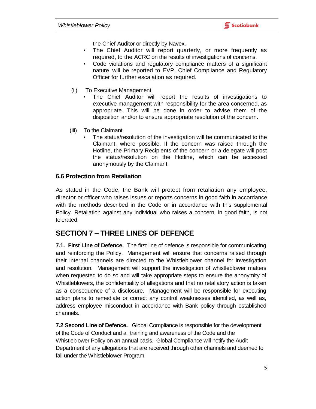the Chief Auditor or directly by Navex.

- The Chief Auditor will report quarterly, or more frequently as required, to the ACRC on the results of investigations of concerns.
- Code violations and regulatory compliance matters of a significant nature will be reported to EVP, Chief Compliance and Regulatory Officer for further escalation as required.
- (ii) To Executive Management
	- The Chief Auditor will report the results of investigations to executive management with responsibility for the area concerned, as appropriate. This will be done in order to advise them of the disposition and/or to ensure appropriate resolution of the concern.
- (iii) To the Claimant
	- The status/resolution of the investigation will be communicated to the Claimant, where possible. If the concern was raised through the Hotline, the Primary Recipients of the concern or a delegate will post the status/resolution on the Hotline, which can be accessed anonymously by the Claimant.

#### **6.6 Protection from Retaliation**

As stated in the Code, the Bank will protect from retaliation any employee, director or officer who raises issues or reports concerns in good faith in accordance with the methods described in the Code or in accordance with this supplemental Policy. Retaliation against any individual who raises a concern, in good faith, is not tolerated.

### **SECTION 7 – THREE LINES OF DEFENCE**

**7.1. First Line of Defence.** The first line of defence is responsible for communicating and reinforcing the Policy. Management will ensure that concerns raised through their internal channels are directed to the Whistleblower channel for investigation and resolution. Management will support the investigation of whistleblower matters when requested to do so and will take appropriate steps to ensure the anonymity of Whistleblowers, the confidentiality of allegations and that no retaliatory action is taken as a consequence of a disclosure. Management will be responsible for executing action plans to remediate or correct any control weaknesses identified, as well as, address employee misconduct in accordance with Bank policy through established channels.

**7.2 Second Line of Defence.** Global Compliance is responsible for the development of the Code of Conduct and all training and awareness of the Code and the Whistleblower Policy on an annual basis. Global Compliance will notify the Audit Department of any allegations that are received through other channels and deemed to fall under the Whistleblower Program.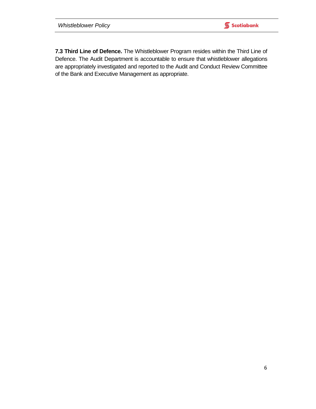**Scotiabank** 

**7.3 Third Line of Defence.** The Whistleblower Program resides within the Third Line of Defence. The Audit Department is accountable to ensure that whistleblower allegations are appropriately investigated and reported to the Audit and Conduct Review Committee of the Bank and Executive Management as appropriate.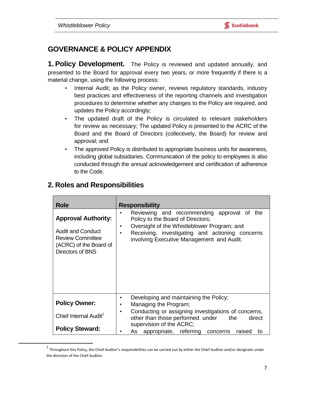### **GOVERNANCE & POLICY APPENDIX**

**1. Policy Development.** The Policy is reviewed and updated annually, and presented to the Board for approval every two years, or more frequently if there is a material change, using the following process:

- Internal Audit, as the Policy owner, reviews regulatory standards, industry best practices and effectiveness of the reporting channels and investigation procedures to determine whether any changes to the Policy are required, and updates the Policy accordingly;
- The updated draft of the Policy is circulated to relevant stakeholders for review as necessary; The updated Policy is presented to the ACRC of the Board and the Board of Directors (collectively, the Board) for review and approval; and
- The approved Policy is distributed to appropriate business units for awareness, including global subsidiaries. Communication of the policy to employees is also conducted through the annual acknowledgement and certification of adherence to the Code.

| <b>Role</b>                                                                                                                     | <b>Responsibility</b>                                                                                                                                                                                                                                                 |  |  |  |
|---------------------------------------------------------------------------------------------------------------------------------|-----------------------------------------------------------------------------------------------------------------------------------------------------------------------------------------------------------------------------------------------------------------------|--|--|--|
| <b>Approval Authority:</b><br><b>Audit and Conduct</b><br><b>Review Committee</b><br>(ACRC) of the Board of<br>Directors of BNS | Reviewing and recommending approval of the<br>$\bullet$<br>Policy to the Board of Directors;<br>Oversight of the Whistleblower Program; and<br>$\bullet$<br>Receiving, investigating and actioning concerns<br>$\bullet$<br>involving Executive Management and Audit. |  |  |  |
| <b>Policy Owner:</b>                                                                                                            | Developing and maintaining the Policy;<br>$\bullet$<br>Managing the Program;<br>$\bullet$                                                                                                                                                                             |  |  |  |
| Chief Internal Audit <sup>2</sup>                                                                                               | Conducting or assigning investigations of concerns,<br>$\bullet$<br>other than those performed under<br>the<br>direct<br>supervision of the ACRC;                                                                                                                     |  |  |  |
| <b>Policy Steward:</b>                                                                                                          | As appropriate, referring<br>raised<br>concerns<br>to                                                                                                                                                                                                                 |  |  |  |

### **2. Roles and Responsibilities**

 $\overline{\phantom{a}}$ 

 $^2$  Throughout this Policy, the Chief Auditor's responsibilities can be carried out by either the Chief Auditor and/or designate under the direction of the Chief Auditor.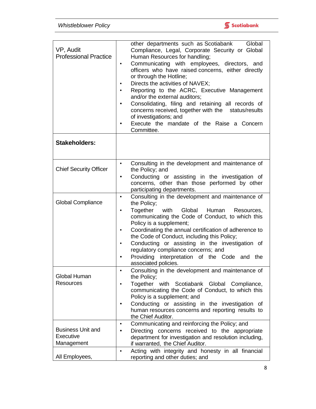

| VP, Audit<br><b>Professional Practice</b>           | Global<br>other departments such as Scotiabank<br>Compliance, Legal, Corporate Security or Global<br>Human Resources for handling;<br>Communicating with employees, directors, and<br>$\bullet$<br>officers who have raised concerns, either directly<br>or through the Hotline;<br>Directs the activities of NAVEX;<br>٠<br>Reporting to the ACRC, Executive Management<br>$\bullet$<br>and/or the external auditors;<br>Consolidating, filing and retaining all records of<br>$\bullet$<br>concerns received, together with the status/results<br>of investigations; and<br>Execute the mandate of the Raise a Concern<br>٠<br>Committee. |
|-----------------------------------------------------|---------------------------------------------------------------------------------------------------------------------------------------------------------------------------------------------------------------------------------------------------------------------------------------------------------------------------------------------------------------------------------------------------------------------------------------------------------------------------------------------------------------------------------------------------------------------------------------------------------------------------------------------|
| <b>Stakeholders:</b>                                |                                                                                                                                                                                                                                                                                                                                                                                                                                                                                                                                                                                                                                             |
| <b>Chief Security Officer</b>                       | Consulting in the development and maintenance of<br>$\bullet$<br>the Policy; and<br>Conducting or assisting in the investigation of<br>$\bullet$<br>concerns, other than those performed by other<br>participating departments.                                                                                                                                                                                                                                                                                                                                                                                                             |
| <b>Global Compliance</b>                            | Consulting in the development and maintenance of<br>$\bullet$<br>the Policy;<br>Together with Global Human<br>Resources,<br>$\bullet$<br>communicating the Code of Conduct, to which this<br>Policy is a supplement;<br>Coordinating the annual certification of adherence to<br>$\bullet$<br>the Code of Conduct, including this Policy;<br>Conducting or assisting in the investigation of<br>$\bullet$<br>regulatory compliance concerns; and<br>Providing interpretation of the Code and the<br>associated policies.                                                                                                                    |
| Global Human<br><b>Resources</b>                    | Consulting in the development and maintenance of<br>the Policy;<br>Together with Scotiabank Global Compliance,<br>$\bullet$<br>communicating the Code of Conduct, to which this<br>Policy is a supplement; and<br>Conducting or assisting in the investigation of<br>٠<br>human resources concerns and reporting results to<br>the Chief Auditor.                                                                                                                                                                                                                                                                                           |
| <b>Business Unit and</b><br>Executive<br>Management | Communicating and reinforcing the Policy; and<br>$\bullet$<br>Directing concerns received to the appropriate<br>$\bullet$<br>department for investigation and resolution including,<br>if warranted, the Chief Auditor.                                                                                                                                                                                                                                                                                                                                                                                                                     |
| All Employees,                                      | Acting with integrity and honesty in all financial<br>$\bullet$<br>reporting and other duties; and                                                                                                                                                                                                                                                                                                                                                                                                                                                                                                                                          |